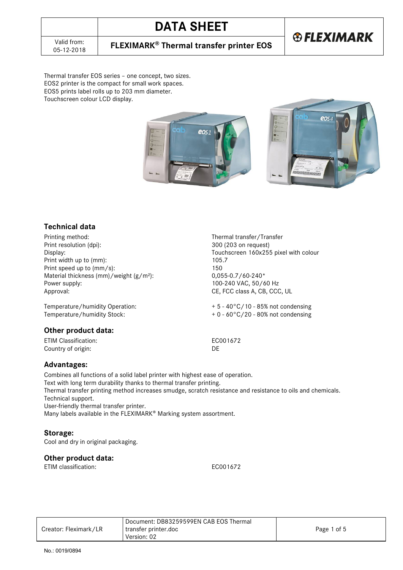# **DATA SHEET**

05-12-2018 **FLEXIMARK® Thermal transfer printer EOS**

### **®FLEXIMARK**

Thermal transfer EOS series – one concept, two sizes. EOS2 printer is the compact for small work spaces. EOS5 prints label rolls up to 203 mm diameter. Touchscreen colour LCD display.





#### **Technical data**

Printing method: Thermal transfer/Transfer Print resolution (dpi): 300 (203 on request) Display: Touchscreen 160x255 pixel with colour Print width up to (mm): 105.7 Print speed up to (mm/s): 150 Material thickness (mm)/weight (g/m<sup>2</sup>): 0,055-0.7/60-240\* Power supply:  $100-240$  VAC, 50/60 Hz Approval: CE, FCC class A, CB, CCC, UL

#### **Other product data:**

ETIM Classification: ECO01672<br>
Country of origin: ECO01672 Country of origin:

#### **Advantages:**

Combines all functions of a solid label printer with highest ease of operation.

Text with long term durability thanks to thermal transfer printing.

Thermal transfer printing method increases smudge, scratch resistance and resistance to oils and chemicals. Technical support.

User-friendly thermal transfer printer.

Many labels available in the FLEXIMARK® Marking system assortment.

#### **Storage:**

Cool and dry in original packaging.

#### **Other product data:**

ETIM classification: EC001672

|                       | Document: DB83259599EN CAB EOS Thermal |             |
|-----------------------|----------------------------------------|-------------|
| Creator: Fleximark/LR | I transfer printer.doc                 | Page 1 of 5 |
|                       | Version: 02                            |             |

Temperature/humidity Operation:  $+ 5 - 40^{\circ}C/10 - 85\%$  not condensing<br>Temperature/humidity Stock:  $+ 0 - 60^{\circ}C/20 - 80\%$  not condensing  $+ 0 - 60^{\circ}$ C/20 - 80% not condensing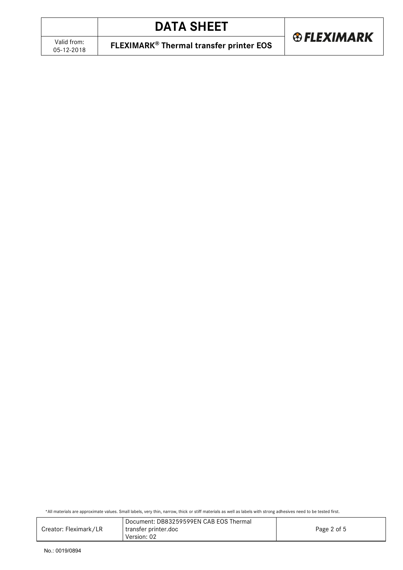| Valid from: |  |
|-------------|--|
| 05-12-2018  |  |



05-12-2018 **FLEXIMARK® Thermal transfer printer EOS**

| Creator: Fleximark/LR | Document: DB83259599EN CAB EOS Thermal<br>transfer printer.doc<br>Version: 02 | Page 2 of 5 |
|-----------------------|-------------------------------------------------------------------------------|-------------|
|-----------------------|-------------------------------------------------------------------------------|-------------|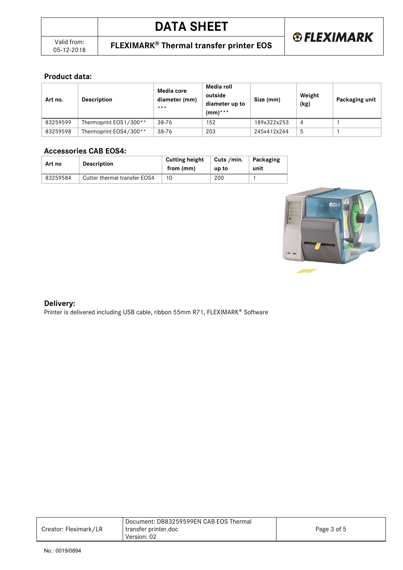05-12-2018 **FLEXIMARK® Thermal transfer printer EOS**



### **Product data:**

| Art no.  | <b>Description</b>     | Media core<br>diameter (mm)<br>$***$ | Media roll<br>outside<br>diameter up to<br>$(mm)$ *** | Size (mm)   | Weight<br>(kg) | Packaging unit |
|----------|------------------------|--------------------------------------|-------------------------------------------------------|-------------|----------------|----------------|
| 83259599 | Thermoprint EOS1/300** | 38-76                                | 152                                                   | 189x322x253 | 4              |                |
| 83259598 | Thermoprint EOS4/300** | 38-76                                | 203                                                   | 245x412x264 | 5              |                |

#### **Accessories CAB EOS4:**

| Art no   | <b>Description</b>           | <b>Cutting height</b><br>from (mm) | Cuts /min.<br>up to | Packaging<br>unit |
|----------|------------------------------|------------------------------------|---------------------|-------------------|
| 83259584 | Cutter thermal transfer EOS4 | 10                                 | 200                 |                   |



### **Delivery:**

Printer is delivered including USB cable, ribbon 55mm R71, FLEXIMARK® Software

|                       | Document: DB83259599EN CAB EOS Thermal |             |
|-----------------------|----------------------------------------|-------------|
| Creator: Fleximark/LR | transfer printer.doc                   | Page 3 of 5 |
|                       | Version: 02                            |             |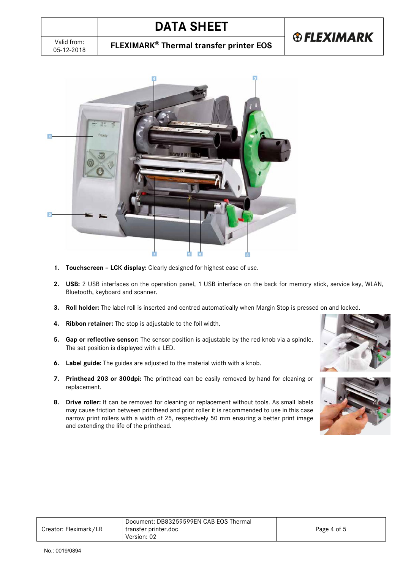## **DATA SHEET**

05-12-2018 **FLEXIMARK® Thermal transfer printer EOS**

### **®FLEXIMARK**



- **1. Touchscreen – LCK display:** Clearly designed for highest ease of use.
- **2. USB:** 2 USB interfaces on the operation panel, 1 USB interface on the back for memory stick, service key, WLAN, Bluetooth, keyboard and scanner.
- **3. Roll holder:** The label roll is inserted and centred automatically when Margin Stop is pressed on and locked.
- **4. Ribbon retainer:** The stop is adjustable to the foil width.
- **5. Gap or reflective sensor:** The sensor position is adjustable by the red knob via a spindle. The set position is displayed with a LED.
- **6. Label guide:** The guides are adjusted to the material width with a knob.
- **7. Printhead 203 or 300dpi:** The printhead can be easily removed by hand for cleaning or replacement.
- **8. Drive roller:** It can be removed for cleaning or replacement without tools. As small labels may cause friction between printhead and print roller it is recommended to use in this case narrow print rollers with a width of 25, respectively 50 mm ensuring a better print image and extending the life of the printhead.





|                       | Document: DB83259599EN CAB EOS Thermal |             |
|-----------------------|----------------------------------------|-------------|
| Creator: Fleximark/LR | transfer printer.doc                   | Page 4 of 5 |
|                       | Version: 02                            |             |